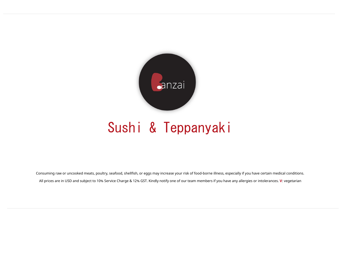

# Sushi & Teppanyaki

Consuming raw or uncooked meats, poultry, seafood, shellfish, or eggs may increase your risk of food-borne illness, especially if you have certain medical conditions. All prices are in USD and subject to 10% Service Charge & 12% GST. Kindly notify one of our team members if you have any allergies or intolerances. **V**: vegetarian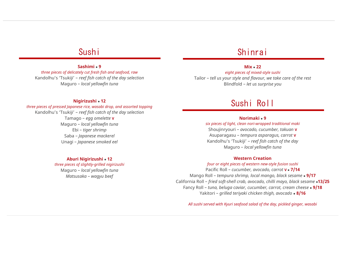### Sushi

### **Sashimi** ⚫ **9**

*three pieces of delicately cut fresh fish and seafood, raw* Kandolhu's 'Tsukiji' – *reef fish catch of the day selection* Maguro – *local yellowfin tuna*

# Shinrai

### **Mix** ⚫ **22**

*eight pieces of mixed-style sushi* Tailor – *tell us your style and flavour, we take care of the rest* Blindfold – *let us surprise you*

### **Nigirizushi** ⚫ **12**

*three pieces of pressed Japanese rice, wasabi drop, and assorted topping*  Kandolhu's 'Tsukiji' – *reef fish catch of the day selection* Tamago – *egg omelette* **V** Maguro – *local yellowfin tuna* Ebi – *tiger shrimp* Saba – *Japanese mackerel* Unagi – *Japanese smoked eel*

### **Aburi Nigirizushi** ⚫ **12**

*three pieces of slightly-grilled nigirizushi* Maguro – *local yellowfin tuna Matsusaka* – *wagyu beef*

# Sushi Roll

### **Norimaki** ⚫ **9**

*six pieces of light, clean nori-wrapped traditional maki* 

Shoujinryouri – *avocado, cucumber, takuan* **V** Asuparagasu – *tempura asparagus, carrot* **V** Kandolhu's 'Tsukiji' – *reef fish catch of the day* Maguro – *local yellowfin tuna*

#### **Western Creation**

*four or eight pieces of western new-style fusion sushi* 

Pacific Roll – *cucumber, avocado, carrot* **V** ⚫ **7/14** Mango Roll – *tempura shrimp, local mango, black sesame* ⚫ **9/17** California Roll – *fried soft-shell crab, avocado, chilli mayo, black sesame* ⚫**13/25** Fancy Roll – *tuna, beluga caviar, cucumber, carrot, cream cheese* ⚫ **9/18** Yakitori – *grilled teriyaki chicken thigh, avocado* ⚫ **8/16**

*All sushi served with Kyuri seafood salad of the day, pickled ginger, wasabi*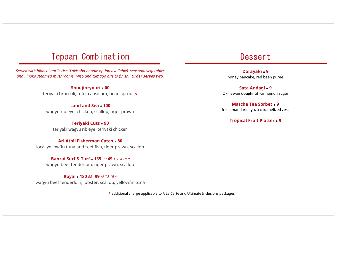# Teppan Combination

*Served with hibachi garlic rice (Yakisoba noodle option available), seasonal vegetables and Kinoko steamed mushrooms. Miso and tamago bite to finish. Order serves two.*

> **Shoujinryouri** ⚫ **60** teriyaki broccoli, tofu, capsicum, bean sprout **V**

**Land and Sea** ⚫ **100** wagyu rib eye, chicken, scallop, tiger prawn

**Teriyaki Cuts** ⚫ **90** teriyaki wagyu rib eye, teriyaki chicken

**Ari Atoll Fisherman Catch** ⚫ **80** local yellowfin tuna and reef fish, tiger prawn, scallop

**Banzai Surf & Turf** ⚫ **135** *BB* **49** *ALC & UI \** wagyu beef tenderloin, tiger prawn, scallop

**Royal** ⚫ **180** *BB* **99** *ALC & UI \** wagyu beef tenderloin, lobster, scallop, yellowfin tuna

*\** additional charge applicable to A La Carte and Ultimate Inclusions packages

## **Dessert**

**Dorayaki** ⚫ **9** honey pancake, red been puree

**Sata Andagi** ⚫ **9** Okinawan doughnut, cinnamon sugar

**Matcha Tea Sorbet** ⚫ **9** fresh mandarin, yuzu caramelized zest

**Tropical Fruit Platter** ⚫ **9**